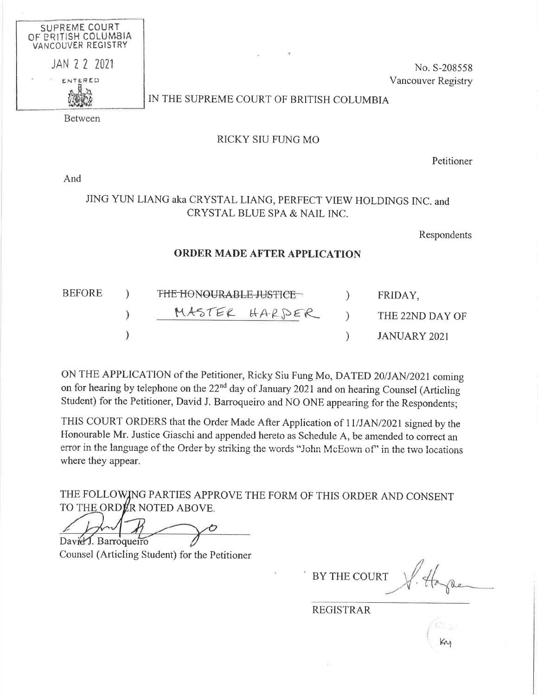

No. S-208558 Vancouver Registry

# IN THE SUPREME COURT OF BRITISH COLUMBIA

**Between** 

### RICKY SIU FUNG MO

Petitioner

And

## JING YUN LIANG aka CRYSTAL LIANG, PERFECT VIEW HOLDINGS INC. and CRYSTAL BLUE SPA & NAIL INC.

Respondents

#### **ORDER MADE AFTER APPLICATION**

| <b>BEFORE</b> | THE HONOURABLE JUSTICE | FRIDAY,         |
|---------------|------------------------|-----------------|
|               | MASTER HARDER          | THE 22ND DAY OF |
|               |                        | JANUARY 2021    |

ON THE APPLICATION of the Petitioner, Ricky Siu Fung Mo, DATED 20/JAN/2021 coming on for hearing by telephone on the  $22^{nd}$  day of January 2021 and on hearing Counsel (Articling Student) for the Petitioner, David J. Barroqueiro and NO ONE appearing for the Respondents;

THIS COURT ORDERS that the Order Made After Application of 11/JAN/2021 signed by the Honourable Mr. Justice Giaschi and appended hereto as Schedule A, be amended to correct an error in the language of the Order by striking the words "John McEown of" in the two locations where they appear.

THE FOLLOWING PARTIES APPROVE THE FORM OF THIS ORDER AND CONSENT TO THE ORDER NOTED ABOVE.

David J. Barroqueiro

Counsel (Articling Student) for the Petitioner

**BY THE COURT** 

**REGISTRAR**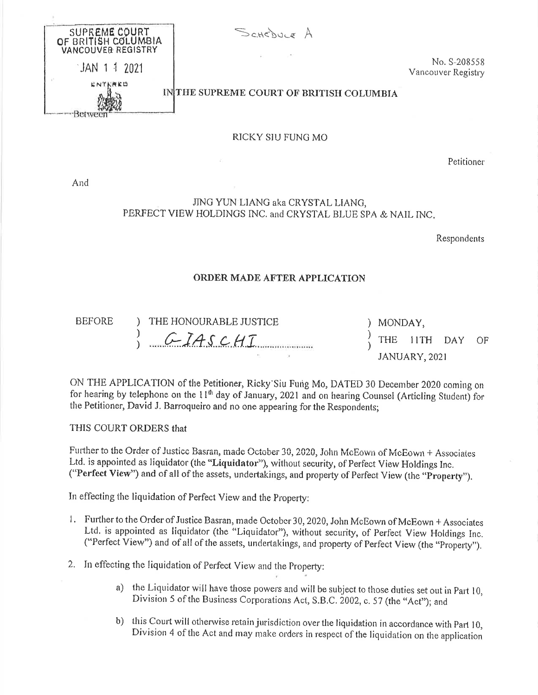SUPREME COURT SCHEDULE A OF BRITISH COLUMBIA VANCOUVER REGISTRY No. S-208558 JAN 1 1 2021 Vancouver Registry INTHE SUPREME COURT OF BRITISH COLUMBIA Betwee RICKY SIU FUNG MO

Petitioner

And

### JING YUN LIANG aka CRYSTAL LIANG, PERFECT VIEW HOLDINGS INC. and CRYSTAL BLUE SPA & NAIL INC.

Respondents

#### **ORDER MADE AFTER APPLICATION**

**BEFORE** 

THE HONOURABLE JUSTICE  $\mathcal{F}$ CIASCHI  $\mathcal{E}$ 

) MONDAY, 11TH DAY THE OF JANUARY, 2021

ON THE APPLICATION of the Petitioner, Ricky Siu Fung Mo, DATED 30 December 2020 coming on for hearing by telephone on the  $11<sup>th</sup>$  day of January, 2021 and on hearing Counsel (Articling Student) for the Petitioner, David J. Barroqueiro and no one appearing for the Respondents;

THIS COURT ORDERS that

Further to the Order of Justice Basran, made October 30, 2020, John McEown of McEown + Associates Ltd. is appointed as liquidator (the "Liquidator"), without security, of Perfect View Holdings Inc. ("Perfect View") and of all of the assets, undertakings, and property of Perfect View (the "Property").

In effecting the liquidation of Perfect View and the Property:

- 1. Further to the Order of Justice Basran, made October 30, 2020, John McEown of McEown + Associates Ltd. is appointed as liquidator (the "Liquidator"), without security, of Perfect View Holdings Inc. ("Perfect View") and of all of the assets, undertakings, and property of Perfect View (the "Property").
- 2. In effecting the liquidation of Perfect View and the Property:
	- a) the Liquidator will have those powers and will be subject to those duties set out in Part 10, Division 5 of the Business Corporations Act, S.B.C. 2002, c. 57 (the "Act"); and
	- b) this Court will otherwise retain jurisdiction over the liquidation in accordance with Part 10, Division 4 of the Act and may make orders in respect of the liquidation on the application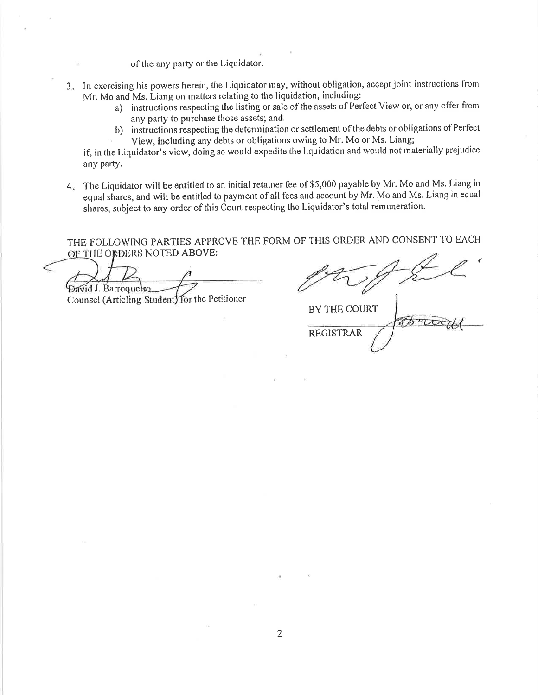of the any party or the Liquidator.

- 3. In exercising his powers herein, the Liquidator may, without obligation, accept joint instructions from Mr. Mo and Ms. Liang on matters relating to the liquidation, including:
	- a) instructions respecting the listing or sale of the assets of Perfect View or, or any offer from any party to purchase those assets; and
	- b) instructions respecting the determination or settlement of the debts or obligations of Perfect View, including any debts or obligations owing to Mr. Mo or Ms. Liang;

if, in the Liquidator's view, doing so would expedite the liquidation and would not materially prejudice any party.

4. The Liquidator will be entitled to an initial retainer fee of \$5,000 payable by Mr. Mo and Ms. Liang in equal shares, and will be entitled to payment of all fees and account by Mr. Mo and Ms. Liang in equal shares, subject to any order of this Court respecting the Liquidator's total remuneration.

THE FOLLOWING PARTIES APPROVE THE FORM OF THIS ORDER AND CONSENT TO EACH OF THE ORDERS NOTED ABOVE:

**David J. Barroquelvo** Counsel (Articling Student) for the Petitioner

**BY THE COURT**  $400$ **REGISTRAR**